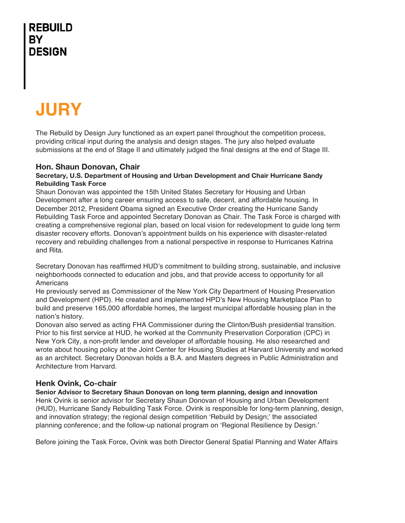# **JURY**

The Rebuild by Design Jury functioned as an expert panel throughout the competition process, providing critical input during the analysis and design stages. The jury also helped evaluate submissions at the end of Stage II and ultimately judged the final designs at the end of Stage III.

#### **Hon. Shaun Donovan, Chair**

#### **Secretary, U.S. Department of Housing and Urban Development and Chair Hurricane Sandy Rebuilding Task Force**

Shaun Donovan was appointed the 15th United States Secretary for Housing and Urban Development after a long career ensuring access to safe, decent, and affordable housing. In December 2012, President Obama signed an Executive Order creating the Hurricane Sandy Rebuilding Task Force and appointed Secretary Donovan as Chair. The Task Force is charged with creating a comprehensive regional plan, based on local vision for redevelopment to guide long term disaster recovery efforts. Donovan's appointment builds on his experience with disaster-related recovery and rebuilding challenges from a national perspective in response to Hurricanes Katrina and Rita.

Secretary Donovan has reaffirmed HUD's commitment to building strong, sustainable, and inclusive neighborhoods connected to education and jobs, and that provide access to opportunity for all Americans

He previously served as Commissioner of the New York City Department of Housing Preservation and Development (HPD). He created and implemented HPD's New Housing Marketplace Plan to build and preserve 165,000 affordable homes, the largest municipal affordable housing plan in the nation's history.

Donovan also served as acting FHA Commissioner during the Clinton/Bush presidential transition. Prior to his first service at HUD, he worked at the Community Preservation Corporation (CPC) in New York City, a non-profit lender and developer of affordable housing. He also researched and wrote about housing policy at the Joint Center for Housing Studies at Harvard University and worked as an architect. Secretary Donovan holds a B.A. and Masters degrees in Public Administration and Architecture from Harvard.

#### **Henk Ovink, Co-chair**

**Senior Advisor to Secretary Shaun Donovan on long term planning, design and innovation** Henk Ovink is senior advisor for Secretary Shaun Donovan of Housing and Urban Development (HUD), Hurricane Sandy Rebuilding Task Force. Ovink is responsible for long-term planning, design, and innovation strategy; the regional design competition 'Rebuild by Design;' the associated planning conference; and the follow-up national program on 'Regional Resilience by Design.'

Before joining the Task Force, Ovink was both Director General Spatial Planning and Water Affairs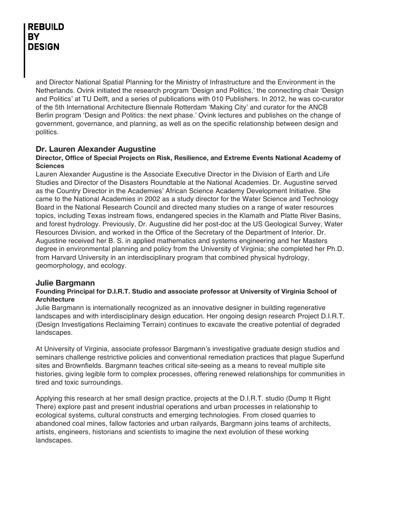and Director National Spatial Planning for the Ministry of Infrastructure and the Environment in the Netherlands. Ovink initiated the research program 'Design and Politics,' the connecting chair 'Design and Politics' at TU Delft, and a series of publications with 010 Publishers. In 2012, he was co-curator of the 5th International Architecture Biennale Rotterdam 'Making City' and curator for the ANCB Berlin program 'Design and Politics: the next phase.' Ovink lectures and publishes on the change of government, governance, and planning, as well as on the specific relationship between design and politics.

#### **Dr. Lauren Alexander Augustine**

#### **Director, Office of Special Projects on Risk, Resilience, and Extreme Events National Academy of Sciences**

Lauren Alexander Augustine is the Associate Executive Director in the Division of Earth and Life Studies and Director of the Disasters Roundtable at the National Academies. Dr. Augustine served as the Country Director in the Academies' African Science Academy Development Initiative. She came to the National Academies in 2002 as a study director for the Water Science and Technology Board in the National Research Council and directed many studies on a range of water resources topics, including Texas instream flows, endangered species in the Klamath and Platte River Basins, and forest hydrology. Previously, Dr. Augustine did her post-doc at the US Geological Survey, Water Resources Division, and worked in the Office of the Secretary of the Department of Interior. Dr. Augustine received her B. S. in applied mathematics and systems engineering and her Masters degree in environmental planning and policy from the University of Virginia; she completed her Ph.D. from Harvard University in an interdisciplinary program that combined physical hydrology, geomorphology, and ecology.

#### **Julie Bargmann**

#### **Founding Principal for D.I.R.T. Studio and associate professor at University of Virginia School of Architecture**

Julie Bargmann is internationally recognized as an innovative designer in building regenerative landscapes and with interdisciplinary design education. Her ongoing design research Project D.I.R.T. (Design Investigations Reclaiming Terrain) continues to excavate the creative potential of degraded landscapes.

At University of Virginia, associate professor Bargmann's investigative graduate design studios and seminars challenge restrictive policies and conventional remediation practices that plague Superfund sites and Brownfields. Bargmann teaches critical site-seeing as a means to reveal multiple site histories, giving legible form to complex processes, offering renewed relationships for communities in tired and toxic surroundings.

Applying this research at her small design practice, projects at the D.I.R.T. studio (Dump It Right There) explore past and present industrial operations and urban processes in relationship to ecological systems, cultural constructs and emerging technologies. From closed quarries to abandoned coal mines, fallow factories and urban railyards, Bargmann joins teams of architects, artists, engineers, historians and scientists to imagine the next evolution of these working landscapes.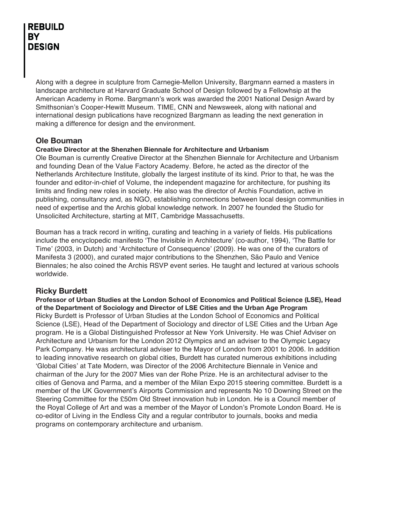Along with a degree in sculpture from Carnegie-Mellon University, Bargmann earned a masters in landscape architecture at Harvard Graduate School of Design followed by a Fellowhsip at the American Academy in Rome. Bargmann's work was awarded the 2001 National Design Award by Smithsonian's Cooper-Hewitt Museum. TIME, CNN and Newsweek, along with national and international design publications have recognized Bargmann as leading the next generation in making a difference for design and the environment.

#### **Ole Bouman**

#### **Creative Director at the Shenzhen Biennale for Architecture and Urbanism**

Ole Bouman is currently Creative Director at the Shenzhen Biennale for Architecture and Urbanism and founding Dean of the Value Factory Academy. Before, he acted as the director of the Netherlands Architecture Institute, globally the largest institute of its kind. Prior to that, he was the founder and editor-in-chief of Volume, the independent magazine for architecture, for pushing its limits and finding new roles in society. He also was the director of Archis Foundation, active in publishing, consultancy and, as NGO, establishing connections between local design communities in need of expertise and the Archis global knowledge network. In 2007 he founded the Studio for Unsolicited Architecture, starting at MIT, Cambridge Massachusetts.

Bouman has a track record in writing, curating and teaching in a variety of fields. His publications include the encyclopedic manifesto 'The Invisible in Architecture' (co-author, 1994), 'The Battle for Time' (2003, in Dutch) and 'Architecture of Consequence' (2009). He was one of the curators of Manifesta 3 (2000), and curated major contributions to the Shenzhen, São Paulo and Venice Biennales; he also coined the Archis RSVP event series. He taught and lectured at various schools worldwide.

#### **Ricky Burdett**

**Professor of Urban Studies at the London School of Economics and Political Science (LSE), Head of the Department of Sociology and Director of LSE Cities and the Urban Age Program** Ricky Burdett is Professor of Urban Studies at the London School of Economics and Political Science (LSE), Head of the Department of Sociology and director of LSE Cities and the Urban Age program. He is a Global Distinguished Professor at New York University. He was Chief Adviser on Architecture and Urbanism for the London 2012 Olympics and an adviser to the Olympic Legacy Park Company. He was architectural adviser to the Mayor of London from 2001 to 2006. In addition to leading innovative research on global cities, Burdett has curated numerous exhibitions including 'Global Cities' at Tate Modern, was Director of the 2006 Architecture Biennale in Venice and chairman of the Jury for the 2007 Mies van der Rohe Prize. He is an architectural adviser to the cities of Genova and Parma, and a member of the Milan Expo 2015 steering committee. Burdett is a member of the UK Government's Airports Commission and represents No 10 Downing Street on the Steering Committee for the £50m Old Street innovation hub in London. He is a Council member of the Royal College of Art and was a member of the Mayor of London's Promote London Board. He is co-editor of Living in the Endless City and a regular contributor to journals, books and media programs on contemporary architecture and urbanism.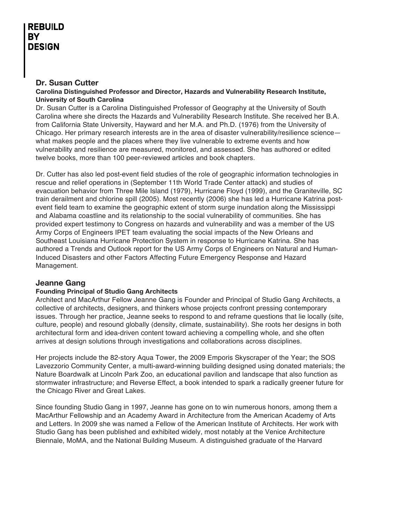#### **Dr. Susan Cutter**

#### **Carolina Distinguished Professor and Director, Hazards and Vulnerability Research Institute, University of South Carolina**

Dr. Susan Cutter is a Carolina Distinguished Professor of Geography at the University of South Carolina where she directs the Hazards and Vulnerability Research Institute. She received her B.A. from California State University, Hayward and her M.A. and Ph.D. (1976) from the University of Chicago. Her primary research interests are in the area of disaster vulnerability/resilience science what makes people and the places where they live vulnerable to extreme events and how vulnerability and resilience are measured, monitored, and assessed. She has authored or edited twelve books, more than 100 peer-reviewed articles and book chapters.

Dr. Cutter has also led post-event field studies of the role of geographic information technologies in rescue and relief operations in (September 11th World Trade Center attack) and studies of evacuation behavior from Three Mile Island (1979), Hurricane Floyd (1999), and the Graniteville, SC train derailment and chlorine spill (2005). Most recently (2006) she has led a Hurricane Katrina postevent field team to examine the geographic extent of storm surge inundation along the Mississippi and Alabama coastline and its relationship to the social vulnerability of communities. She has provided expert testimony to Congress on hazards and vulnerability and was a member of the US Army Corps of Engineers IPET team evaluating the social impacts of the New Orleans and Southeast Louisiana Hurricane Protection System in response to Hurricane Katrina. She has authored a Trends and Outlook report for the US Army Corps of Engineers on Natural and Human-Induced Disasters and other Factors Affecting Future Emergency Response and Hazard Management.

#### **Jeanne Gang**

#### **Founding Principal of Studio Gang Architects**

Architect and MacArthur Fellow Jeanne Gang is Founder and Principal of Studio Gang Architects, a collective of architects, designers, and thinkers whose projects confront pressing contemporary issues. Through her practice, Jeanne seeks to respond to and reframe questions that lie locally (site, culture, people) and resound globally (density, climate, sustainability). She roots her designs in both architectural form and idea-driven content toward achieving a compelling whole, and she often arrives at design solutions through investigations and collaborations across disciplines.

Her projects include the 82-story Aqua Tower, the 2009 Emporis Skyscraper of the Year; the SOS Lavezzorio Community Center, a multi-award-winning building designed using donated materials; the Nature Boardwalk at Lincoln Park Zoo, an educational pavilion and landscape that also function as stormwater infrastructure; and Reverse Effect, a book intended to spark a radically greener future for the Chicago River and Great Lakes.

Since founding Studio Gang in 1997, Jeanne has gone on to win numerous honors, among them a MacArthur Fellowship and an Academy Award in Architecture from the American Academy of Arts and Letters. In 2009 she was named a Fellow of the American Institute of Architects. Her work with Studio Gang has been published and exhibited widely, most notably at the Venice Architecture Biennale, MoMA, and the National Building Museum. A distinguished graduate of the Harvard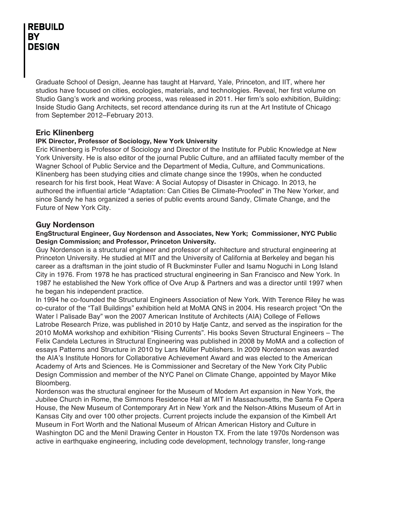Graduate School of Design, Jeanne has taught at Harvard, Yale, Princeton, and IIT, where her studios have focused on cities, ecologies, materials, and technologies. Reveal, her first volume on Studio Gang's work and working process, was released in 2011. Her firm's solo exhibition, Building: Inside Studio Gang Architects, set record attendance during its run at the Art Institute of Chicago from September 2012–February 2013.

#### **Eric Klinenberg**

#### **IPK Director, Professor of Sociology, New York University**

Eric Klinenberg is Professor of Sociology and Director of the Institute for Public Knowledge at New York University. He is also editor of the journal Public Culture, and an affiliated faculty member of the Wagner School of Public Service and the Department of Media, Culture, and Communications. Klinenberg has been studying cities and climate change since the 1990s, when he conducted research for his first book, Heat Wave: A Social Autopsy of Disaster in Chicago. In 2013, he authored the influential article "Adaptation: Can Cities Be Climate-Proofed" in The New Yorker, and since Sandy he has organized a series of public events around Sandy, Climate Change, and the Future of New York City.

#### **Guy Nordenson**

#### **EngStructural Engineer, Guy Nordenson and Associates, New York; Commissioner, NYC Public Design Commission; and Professor, Princeton University.**

Guy Nordenson is a structural engineer and professor of architecture and structural engineering at Princeton University. He studied at MIT and the University of California at Berkeley and began his career as a draftsman in the joint studio of R Buckminster Fuller and Isamu Noguchi in Long Island City in 1976. From 1978 he has practiced structural engineering in San Francisco and New York. In 1987 he established the New York office of Ove Arup & Partners and was a director until 1997 when he began his independent practice.

In 1994 he co-founded the Structural Engineers Association of New York. With Terence Riley he was co-curator of the "Tall Buildings" exhibition held at MoMA QNS in 2004. His research project "On the Water I Palisade Bay" won the 2007 American Institute of Architects (AIA) College of Fellows Latrobe Research Prize, was published in 2010 by Hatje Cantz, and served as the inspiration for the 2010 MoMA workshop and exhibition "Rising Currents". His books Seven Structural Engineers – The Felix Candela Lectures in Structural Engineering was published in 2008 by MoMA and a collection of essays Patterns and Structure in 2010 by Lars Müller Publishers. In 2009 Nordenson was awarded the AIA's Institute Honors for Collaborative Achievement Award and was elected to the American Academy of Arts and Sciences. He is Commissioner and Secretary of the New York City Public Design Commission and member of the NYC Panel on Climate Change, appointed by Mayor Mike Bloomberg.

Nordenson was the structural engineer for the Museum of Modern Art expansion in New York, the Jubilee Church in Rome, the Simmons Residence Hall at MIT in Massachusetts, the Santa Fe Opera House, the New Museum of Contemporary Art in New York and the Nelson-Atkins Museum of Art in Kansas City and over 100 other projects. Current projects include the expansion of the Kimbell Art Museum in Fort Worth and the National Museum of African American History and Culture in Washington DC and the Menil Drawing Center in Houston TX. From the late 1970s Nordenson was active in earthquake engineering, including code development, technology transfer, long-range